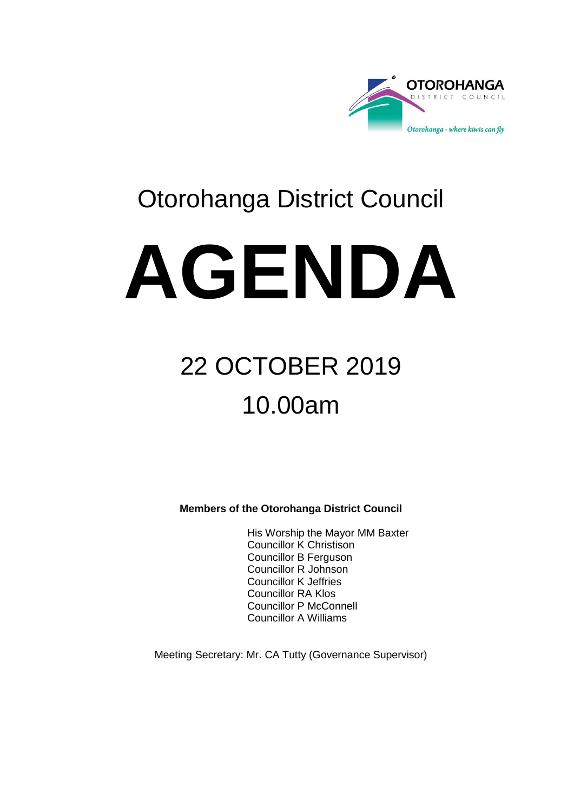

### Otorohanga District Council

# **AGENDA**

## 22 OCTOBER 2019 10.00am

**Members of the Otorohanga District Council**

His Worship the Mayor MM Baxter Councillor K Christison Councillor B Ferguson Councillor R Johnson Councillor K Jeffries Councillor RA Klos Councillor P McConnell Councillor A Williams

Meeting Secretary: Mr. CA Tutty (Governance Supervisor)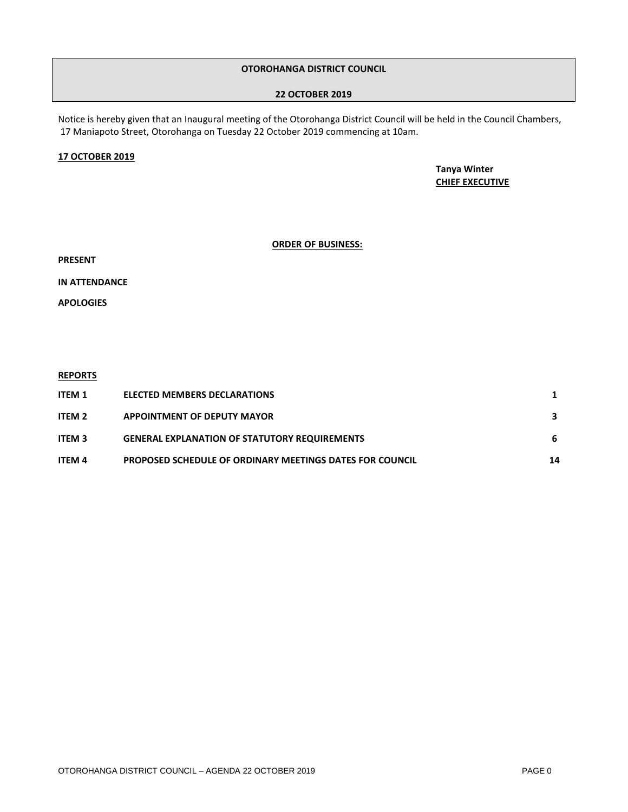#### **OTOROHANGA DISTRICT COUNCIL**

#### **22 OCTOBER 2019**

Notice is hereby given that an Inaugural meeting of the Otorohanga District Council will be held in the Council Chambers, 17 Maniapoto Street, Otorohanga on Tuesday 22 October 2019 commencing at 10am.

#### **17 OCTOBER 2019**

**Tanya Winter CHIEF EXECUTIVE**

#### **ORDER OF BUSINESS:**

**PRESENT**

**IN ATTENDANCE**

**APOLOGIES**

#### **REPORTS**

| ITEM 1        | <b>ELECTED MEMBERS DECLARATIONS</b>                             |    |
|---------------|-----------------------------------------------------------------|----|
| <b>ITEM 2</b> | <b>APPOINTMENT OF DEPUTY MAYOR</b>                              |    |
| <b>ITEM 3</b> | <b>GENERAL EXPLANATION OF STATUTORY REQUIREMENTS</b>            | -6 |
| <b>ITEM 4</b> | <b>PROPOSED SCHEDULE OF ORDINARY MEETINGS DATES FOR COUNCIL</b> | 14 |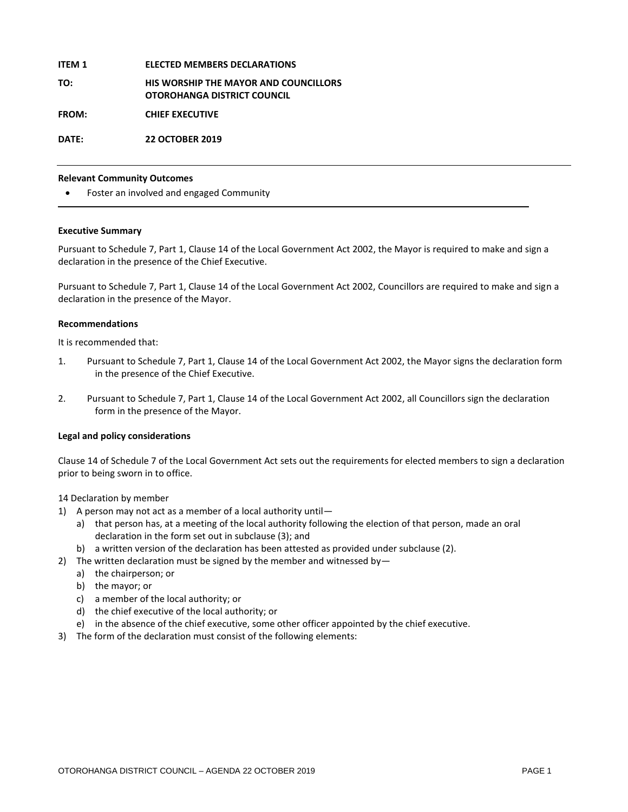#### **ITEM 1 ELECTED MEMBERS DECLARATIONS**

**TO: HIS WORSHIP THE MAYOR AND COUNCILLORS OTOROHANGA DISTRICT COUNCIL**

**FROM: CHIEF EXECUTIVE**

**DATE: 22 OCTOBER 2019**

#### **Relevant Community Outcomes**

Foster an involved and engaged Community

#### **Executive Summary**

Pursuant to Schedule 7, Part 1, Clause 14 of the Local Government Act 2002, the Mayor is required to make and sign a declaration in the presence of the Chief Executive.

Pursuant to Schedule 7, Part 1, Clause 14 of the Local Government Act 2002, Councillors are required to make and sign a declaration in the presence of the Mayor.

#### **Recommendations**

It is recommended that:

- 1. Pursuant to Schedule 7, Part 1, Clause 14 of the Local Government Act 2002, the Mayor signs the declaration form in the presence of the Chief Executive.
- 2. Pursuant to Schedule 7, Part 1, Clause 14 of the Local Government Act 2002, all Councillors sign the declaration form in the presence of the Mayor.

#### **Legal and policy considerations**

Clause 14 of Schedule 7 of the Local Government Act sets out the requirements for elected members to sign a declaration prior to being sworn in to office.

14 Declaration by member

- 1) A person may not act as a member of a local authority until
	- a) that person has, at a meeting of the local authority following the election of that person, made an oral declaration in the form set out in subclause (3); and
	- b) a written version of the declaration has been attested as provided under subclause (2).
- 2) The written declaration must be signed by the member and witnessed by
	- a) the chairperson; or
	- b) the mayor; or
	- c) a member of the local authority; or
	- d) the chief executive of the local authority; or
	- e) in the absence of the chief executive, some other officer appointed by the chief executive.
- 3) The form of the declaration must consist of the following elements: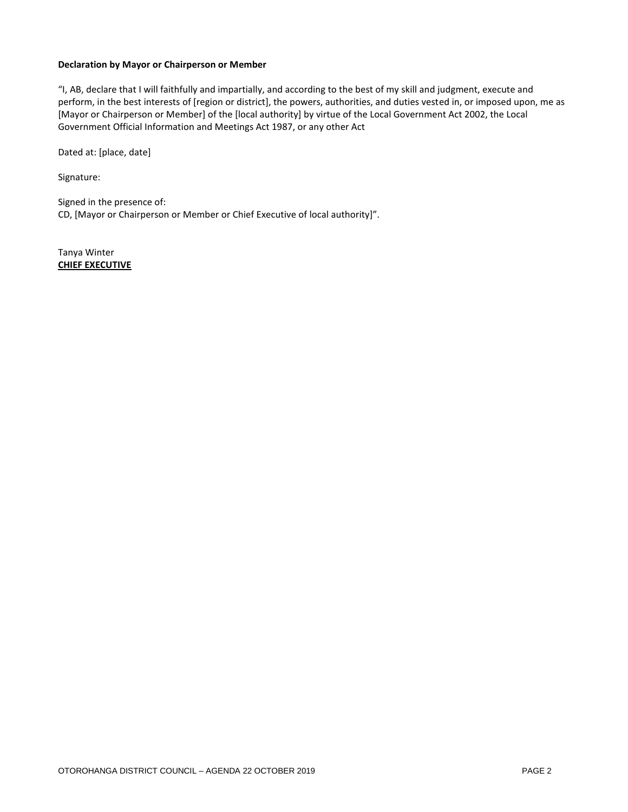#### **Declaration by Mayor or Chairperson or Member**

"I, AB, declare that I will faithfully and impartially, and according to the best of my skill and judgment, execute and perform, in the best interests of [region or district], the powers, authorities, and duties vested in, or imposed upon, me as [Mayor or Chairperson or Member] of the [local authority] by virtue of the Local Government Act 2002, the Local Government Official Information and Meetings Act 1987, or any other Act

Dated at: [place, date]

Signature:

Signed in the presence of: CD, [Mayor or Chairperson or Member or Chief Executive of local authority]".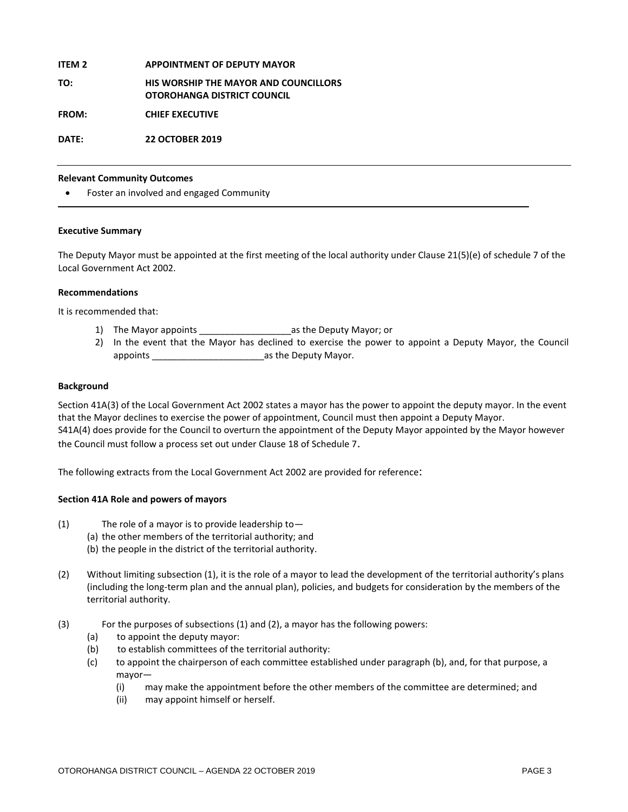#### **ITEM 2 APPOINTMENT OF DEPUTY MAYOR**

#### **TO: HIS WORSHIP THE MAYOR AND COUNCILLORS OTOROHANGA DISTRICT COUNCIL**

**FROM: CHIEF EXECUTIVE**

**DATE: 22 OCTOBER 2019**

#### **Relevant Community Outcomes**

Foster an involved and engaged Community

#### **Executive Summary**

The Deputy Mayor must be appointed at the first meeting of the local authority under Clause 21(5)(e) of schedule 7 of the Local Government Act 2002.

#### **Recommendations**

It is recommended that:

- 1) The Mayor appoints \_\_\_\_\_\_\_\_\_\_\_\_\_\_\_\_\_\_as the Deputy Mayor; or
- 2) In the event that the Mayor has declined to exercise the power to appoint a Deputy Mayor, the Council appoints \_\_\_\_\_\_\_\_\_\_\_\_\_\_\_\_\_\_\_\_\_\_as the Deputy Mayor.

#### **Background**

Section 41A(3) of the Local Government Act 2002 states a mayor has the power to appoint the deputy mayor. In the event that the Mayor declines to exercise the power of appointment, Council must then appoint a Deputy Mayor. S41A(4) does provide for the Council to overturn the appointment of the Deputy Mayor appointed by the Mayor however the Council must follow a process set out under Clause 18 of Schedule 7.

The following extracts from the Local Government Act 2002 are provided for reference:

#### **Section 41A Role and powers of mayors**

- (1) The role of a mayor is to provide leadership to—
	- (a) the other members of the territorial authority; and
	- (b) the people in the district of the territorial authority.
- (2) Without limiting subsection (1), it is the role of a mayor to lead the development of the territorial authority's plans (including the long-term plan and the annual plan), policies, and budgets for consideration by the members of the territorial authority.
- (3) For the purposes of subsections (1) and (2), a mayor has the following powers:
	- (a) to appoint the deputy mayor:
	- (b) to establish committees of the territorial authority:
	- (c) to appoint the chairperson of each committee established under paragraph (b), and, for that purpose, a mayor—
		- (i) may make the appointment before the other members of the committee are determined; and
		- (ii) may appoint himself or herself.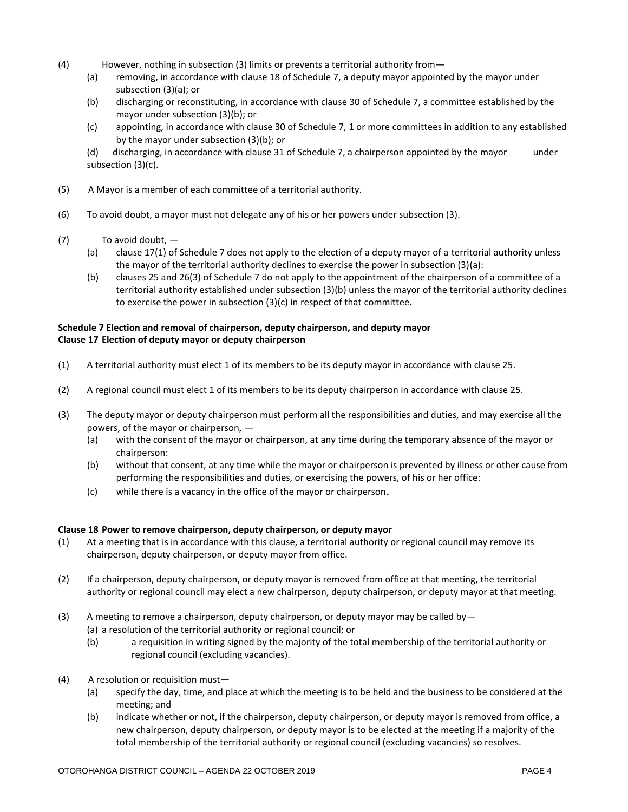- (4) However, nothing in subsection (3) limits or prevents a territorial authority from—
	- (a) removing, in accordance with clause 18 of Schedule 7, a deputy mayor appointed by the mayor under subsection (3)(a); or
	- (b) discharging or reconstituting, in accordance with clause 30 of Schedule 7, a committee established by the mayor under subsection (3)(b); or
	- (c) appointing, in accordance with clause 30 of Schedule 7, 1 or more committees in addition to any established by the mayor under subsection (3)(b); or

(d) discharging, in accordance with clause 31 of Schedule 7, a chairperson appointed by the mayor under subsection (3)(c).

- (5) A Mayor is a member of each committee of a territorial authority.
- (6) To avoid doubt, a mayor must not delegate any of his or her powers under subsection (3).
- (7) To avoid doubt,
	- (a) clause 17(1) of Schedule 7 does not apply to the election of a deputy mayor of a territorial authority unless the mayor of the territorial authority declines to exercise the power in subsection (3)(a):
	- (b) clauses 25 and 26(3) of Schedule 7 do not apply to the appointment of the chairperson of a committee of a territorial authority established under subsection (3)(b) unless the mayor of the territorial authority declines to exercise the power in subsection (3)(c) in respect of that committee.

#### **Schedule 7 Election and removal of chairperson, deputy chairperson, and deputy mayor Clause 17 Election of deputy mayor or deputy chairperson**

- (1) A territorial authority must elect 1 of its members to be its deputy mayor in accordance with clause 25.
- (2) A regional council must elect 1 of its members to be its deputy chairperson in accordance with clause 25.
- (3) The deputy mayor or deputy chairperson must perform all the responsibilities and duties, and may exercise all the powers, of the mayor or chairperson, —
	- (a) with the consent of the mayor or chairperson, at any time during the temporary absence of the mayor or chairperson:
	- (b) without that consent, at any time while the mayor or chairperson is prevented by illness or other cause from performing the responsibilities and duties, or exercising the powers, of his or her office:
	- (c) while there is a vacancy in the office of the mayor or chairperson.

#### **Clause 18 Power to remove chairperson, deputy chairperson, or deputy mayor**

- (1) At a meeting that is in accordance with this clause, a territorial authority or regional council may remove its chairperson, deputy chairperson, or deputy mayor from office.
- (2) If a chairperson, deputy chairperson, or deputy mayor is removed from office at that meeting, the territorial authority or regional council may elect a new chairperson, deputy chairperson, or deputy mayor at that meeting.
- (3) A meeting to remove a chairperson, deputy chairperson, or deputy mayor may be called by  $-$ 
	- (a) a resolution of the territorial authority or regional council; or
	- (b) a requisition in writing signed by the majority of the total membership of the territorial authority or regional council (excluding vacancies).
- (4) A resolution or requisition must—
	- (a) specify the day, time, and place at which the meeting is to be held and the business to be considered at the meeting; and
	- (b) indicate whether or not, if the chairperson, deputy chairperson, or deputy mayor is removed from office, a new chairperson, deputy chairperson, or deputy mayor is to be elected at the meeting if a majority of the total membership of the territorial authority or regional council (excluding vacancies) so resolves.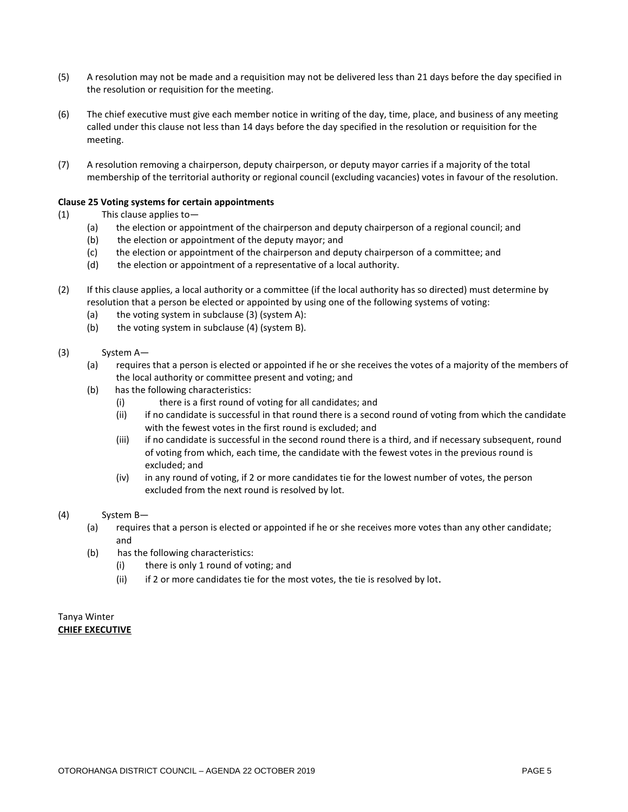- (5) A resolution may not be made and a requisition may not be delivered less than 21 days before the day specified in the resolution or requisition for the meeting.
- (6) The chief executive must give each member notice in writing of the day, time, place, and business of any meeting called under this clause not less than 14 days before the day specified in the resolution or requisition for the meeting.
- (7) A resolution removing a chairperson, deputy chairperson, or deputy mayor carries if a majority of the total membership of the territorial authority or regional council (excluding vacancies) votes in favour of the resolution.

#### **Clause 25 Voting systems for certain appointments**

- (1) This clause applies to—
	- (a) the election or appointment of the chairperson and deputy chairperson of a regional council; and
	- (b) the election or appointment of the deputy mayor; and
	- (c) the election or appointment of the chairperson and deputy chairperson of a committee; and
	- (d) the election or appointment of a representative of a local authority.
- (2) If this clause applies, a local authority or a committee (if the local authority has so directed) must determine by resolution that a person be elected or appointed by using one of the following systems of voting:
	- (a) the voting system in subclause (3) (system A):
	- (b) the voting system in subclause (4) (system B).
- (3) System A—
	- (a) requires that a person is elected or appointed if he or she receives the votes of a majority of the members of the local authority or committee present and voting; and
	- (b) has the following characteristics:
		- (i) there is a first round of voting for all candidates; and
		- (ii) if no candidate is successful in that round there is a second round of voting from which the candidate with the fewest votes in the first round is excluded; and
		- (iii) if no candidate is successful in the second round there is a third, and if necessary subsequent, round of voting from which, each time, the candidate with the fewest votes in the previous round is excluded; and
		- (iv) in any round of voting, if 2 or more candidates tie for the lowest number of votes, the person excluded from the next round is resolved by lot.
- (4) System B—
	- (a) requires that a person is elected or appointed if he or she receives more votes than any other candidate; and
	- (b) has the following characteristics:
		- (i) there is only 1 round of voting; and
		- (ii) if 2 or more candidates tie for the most votes, the tie is resolved by lot.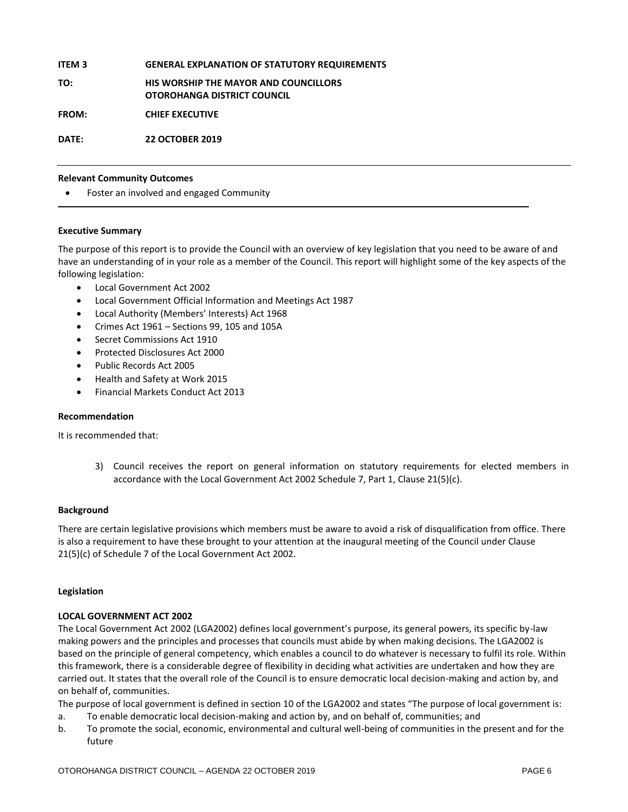#### **ITEM 3 GENERAL EXPLANATION OF STATUTORY REQUIREMENTS**

**TO: HIS WORSHIP THE MAYOR AND COUNCILLORS OTOROHANGA DISTRICT COUNCIL**

**FROM: CHIEF EXECUTIVE**

**DATE: 22 OCTOBER 2019**

#### **Relevant Community Outcomes**

Foster an involved and engaged Community

#### **Executive Summary**

The purpose of this report is to provide the Council with an overview of key legislation that you need to be aware of and have an understanding of in your role as a member of the Council. This report will highlight some of the key aspects of the following legislation:

- Local Government Act 2002
- Local Government Official Information and Meetings Act 1987
- Local Authority (Members' Interests) Act 1968
- Crimes Act 1961 Sections 99, 105 and 105A
- Secret Commissions Act 1910
- Protected Disclosures Act 2000
- Public Records Act 2005
- Health and Safety at Work 2015
- Financial Markets Conduct Act 2013

#### **Recommendation**

It is recommended that:

3) Council receives the report on general information on statutory requirements for elected members in accordance with the Local Government Act 2002 Schedule 7, Part 1, Clause 21(5)(c).

#### **Background**

There are certain legislative provisions which members must be aware to avoid a risk of disqualification from office. There is also a requirement to have these brought to your attention at the inaugural meeting of the Council under Clause 21(5)(c) of Schedule 7 of the Local Government Act 2002.

#### **Legislation**

#### **LOCAL GOVERNMENT ACT 2002**

The Local Government Act 2002 (LGA2002) defines local government's purpose, its general powers, its specific by-law making powers and the principles and processes that councils must abide by when making decisions. The LGA2002 is based on the principle of general competency, which enables a council to do whatever is necessary to fulfil its role. Within this framework, there is a considerable degree of flexibility in deciding what activities are undertaken and how they are carried out. It states that the overall role of the Council is to ensure democratic local decision-making and action by, and on behalf of, communities.

The purpose of local government is defined in section 10 of the LGA2002 and states "The purpose of local government is:

- a. To enable democratic local decision-making and action by, and on behalf of, communities; and
- b. To promote the social, economic, environmental and cultural well-being of communities in the present and for the future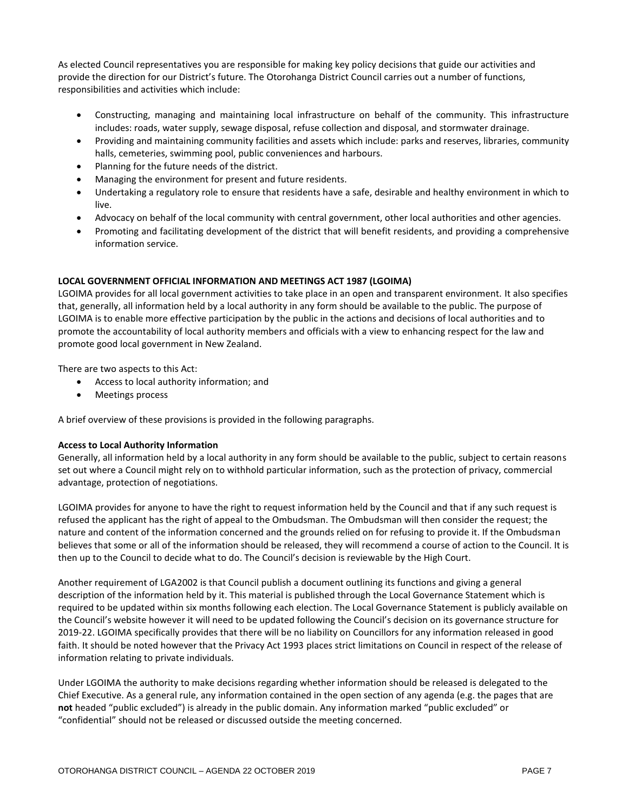As elected Council representatives you are responsible for making key policy decisions that guide our activities and provide the direction for our District's future. The Otorohanga District Council carries out a number of functions, responsibilities and activities which include:

- Constructing, managing and maintaining local infrastructure on behalf of the community. This infrastructure includes: roads, water supply, sewage disposal, refuse collection and disposal, and stormwater drainage.
- Providing and maintaining community facilities and assets which include: parks and reserves, libraries, community halls, cemeteries, swimming pool, public conveniences and harbours.
- Planning for the future needs of the district.
- Managing the environment for present and future residents.
- Undertaking a regulatory role to ensure that residents have a safe, desirable and healthy environment in which to live.
- Advocacy on behalf of the local community with central government, other local authorities and other agencies.
- Promoting and facilitating development of the district that will benefit residents, and providing a comprehensive information service.

#### **LOCAL GOVERNMENT OFFICIAL INFORMATION AND MEETINGS ACT 1987 (LGOIMA)**

LGOIMA provides for all local government activities to take place in an open and transparent environment. It also specifies that, generally, all information held by a local authority in any form should be available to the public. The purpose of LGOIMA is to enable more effective participation by the public in the actions and decisions of local authorities and to promote the accountability of local authority members and officials with a view to enhancing respect for the law and promote good local government in New Zealand.

There are two aspects to this Act:

- Access to local authority information; and
- Meetings process

A brief overview of these provisions is provided in the following paragraphs.

#### **Access to Local Authority Information**

Generally, all information held by a local authority in any form should be available to the public, subject to certain reasons set out where a Council might rely on to withhold particular information, such as the protection of privacy, commercial advantage, protection of negotiations.

LGOIMA provides for anyone to have the right to request information held by the Council and that if any such request is refused the applicant has the right of appeal to the Ombudsman. The Ombudsman will then consider the request; the nature and content of the information concerned and the grounds relied on for refusing to provide it. If the Ombudsman believes that some or all of the information should be released, they will recommend a course of action to the Council. It is then up to the Council to decide what to do. The Council's decision is reviewable by the High Court.

Another requirement of LGA2002 is that Council publish a document outlining its functions and giving a general description of the information held by it. This material is published through the Local Governance Statement which is required to be updated within six months following each election. The Local Governance Statement is publicly available on the Council's website however it will need to be updated following the Council's decision on its governance structure for 2019-22. LGOIMA specifically provides that there will be no liability on Councillors for any information released in good faith. It should be noted however that the Privacy Act 1993 places strict limitations on Council in respect of the release of information relating to private individuals.

Under LGOIMA the authority to make decisions regarding whether information should be released is delegated to the Chief Executive. As a general rule, any information contained in the open section of any agenda (e.g. the pages that are **not** headed "public excluded") is already in the public domain. Any information marked "public excluded" or "confidential" should not be released or discussed outside the meeting concerned.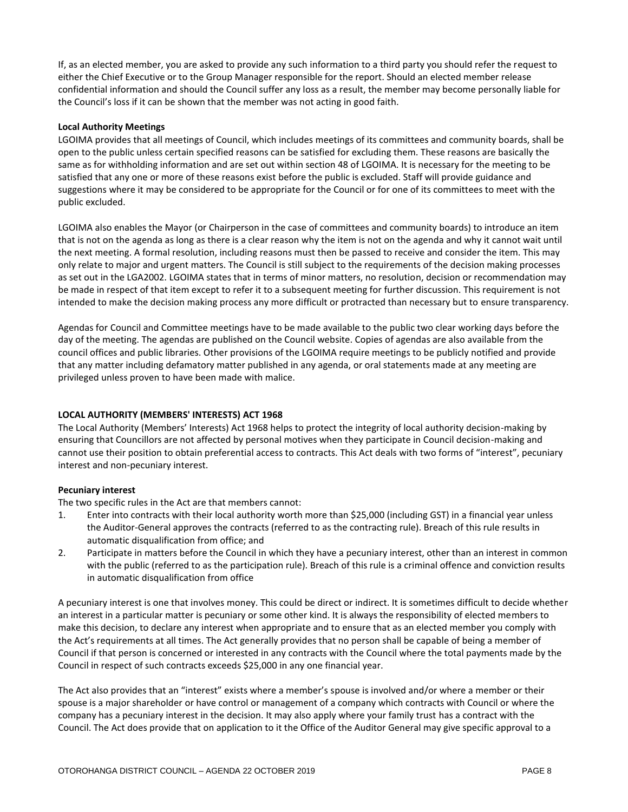If, as an elected member, you are asked to provide any such information to a third party you should refer the request to either the Chief Executive or to the Group Manager responsible for the report. Should an elected member release confidential information and should the Council suffer any loss as a result, the member may become personally liable for the Council's loss if it can be shown that the member was not acting in good faith.

#### **Local Authority Meetings**

LGOIMA provides that all meetings of Council, which includes meetings of its committees and community boards, shall be open to the public unless certain specified reasons can be satisfied for excluding them. These reasons are basically the same as for withholding information and are set out within section 48 of LGOIMA. It is necessary for the meeting to be satisfied that any one or more of these reasons exist before the public is excluded. Staff will provide guidance and suggestions where it may be considered to be appropriate for the Council or for one of its committees to meet with the public excluded.

LGOIMA also enables the Mayor (or Chairperson in the case of committees and community boards) to introduce an item that is not on the agenda as long as there is a clear reason why the item is not on the agenda and why it cannot wait until the next meeting. A formal resolution, including reasons must then be passed to receive and consider the item. This may only relate to major and urgent matters. The Council is still subject to the requirements of the decision making processes as set out in the LGA2002. LGOIMA states that in terms of minor matters, no resolution, decision or recommendation may be made in respect of that item except to refer it to a subsequent meeting for further discussion. This requirement is not intended to make the decision making process any more difficult or protracted than necessary but to ensure transparency.

Agendas for Council and Committee meetings have to be made available to the public two clear working days before the day of the meeting. The agendas are published on the Council website. Copies of agendas are also available from the council offices and public libraries. Other provisions of the LGOIMA require meetings to be publicly notified and provide that any matter including defamatory matter published in any agenda, or oral statements made at any meeting are privileged unless proven to have been made with malice.

#### **LOCAL AUTHORITY (MEMBERS' INTERESTS) ACT 1968**

The Local Authority (Members' Interests) Act 1968 helps to protect the integrity of local authority decision-making by ensuring that Councillors are not affected by personal motives when they participate in Council decision-making and cannot use their position to obtain preferential access to contracts. This Act deals with two forms of "interest", pecuniary interest and non-pecuniary interest.

#### **Pecuniary interest**

The two specific rules in the Act are that members cannot:

- 1. Enter into contracts with their local authority worth more than \$25,000 (including GST) in a financial year unless the Auditor-General approves the contracts (referred to as the contracting rule). Breach of this rule results in automatic disqualification from office; and
- 2. Participate in matters before the Council in which they have a pecuniary interest, other than an interest in common with the public (referred to as the participation rule). Breach of this rule is a criminal offence and conviction results in automatic disqualification from office

A pecuniary interest is one that involves money. This could be direct or indirect. It is sometimes difficult to decide whether an interest in a particular matter is pecuniary or some other kind. It is always the responsibility of elected members to make this decision, to declare any interest when appropriate and to ensure that as an elected member you comply with the Act's requirements at all times. The Act generally provides that no person shall be capable of being a member of Council if that person is concerned or interested in any contracts with the Council where the total payments made by the Council in respect of such contracts exceeds \$25,000 in any one financial year.

The Act also provides that an "interest" exists where a member's spouse is involved and/or where a member or their spouse is a major shareholder or have control or management of a company which contracts with Council or where the company has a pecuniary interest in the decision. It may also apply where your family trust has a contract with the Council. The Act does provide that on application to it the Office of the Auditor General may give specific approval to a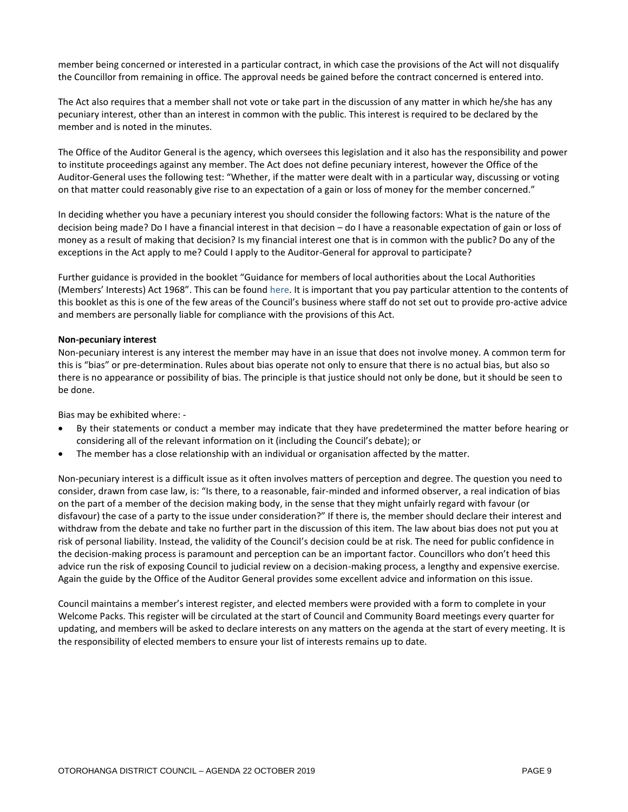member being concerned or interested in a particular contract, in which case the provisions of the Act will not disqualify the Councillor from remaining in office. The approval needs be gained before the contract concerned is entered into.

The Act also requires that a member shall not vote or take part in the discussion of any matter in which he/she has any pecuniary interest, other than an interest in common with the public. This interest is required to be declared by the member and is noted in the minutes.

The Office of the Auditor General is the agency, which oversees this legislation and it also has the responsibility and power to institute proceedings against any member. The Act does not define pecuniary interest, however the Office of the Auditor-General uses the following test: "Whether, if the matter were dealt with in a particular way, discussing or voting on that matter could reasonably give rise to an expectation of a gain or loss of money for the member concerned."

In deciding whether you have a pecuniary interest you should consider the following factors: What is the nature of the decision being made? Do I have a financial interest in that decision – do I have a reasonable expectation of gain or loss of money as a result of making that decision? Is my financial interest one that is in common with the public? Do any of the exceptions in the Act apply to me? Could I apply to the Auditor-General for approval to participate?

Further guidance is provided in the booklet "Guidance for members of local authorities about the Local Authorities (Members' Interests) Act 1968". This can be foun[d here.](https://www.oag.govt.nz/2010/lamia/docs/local-authorities-members-interests-act.pdf) It is important that you pay particular attention to the contents of this booklet as this is one of the few areas of the Council's business where staff do not set out to provide pro-active advice and members are personally liable for compliance with the provisions of this Act.

#### **Non-pecuniary interest**

Non-pecuniary interest is any interest the member may have in an issue that does not involve money. A common term for this is "bias" or pre-determination. Rules about bias operate not only to ensure that there is no actual bias, but also so there is no appearance or possibility of bias. The principle is that justice should not only be done, but it should be seen to be done.

Bias may be exhibited where: -

- By their statements or conduct a member may indicate that they have predetermined the matter before hearing or considering all of the relevant information on it (including the Council's debate); or
- The member has a close relationship with an individual or organisation affected by the matter.

Non-pecuniary interest is a difficult issue as it often involves matters of perception and degree. The question you need to consider, drawn from case law, is: "Is there, to a reasonable, fair-minded and informed observer, a real indication of bias on the part of a member of the decision making body, in the sense that they might unfairly regard with favour (or disfavour) the case of a party to the issue under consideration?" If there is, the member should declare their interest and withdraw from the debate and take no further part in the discussion of this item. The law about bias does not put you at risk of personal liability. Instead, the validity of the Council's decision could be at risk. The need for public confidence in the decision-making process is paramount and perception can be an important factor. Councillors who don't heed this advice run the risk of exposing Council to judicial review on a decision-making process, a lengthy and expensive exercise. Again the guide by the Office of the Auditor General provides some excellent advice and information on this issue.

Council maintains a member's interest register, and elected members were provided with a form to complete in your Welcome Packs. This register will be circulated at the start of Council and Community Board meetings every quarter for updating, and members will be asked to declare interests on any matters on the agenda at the start of every meeting. It is the responsibility of elected members to ensure your list of interests remains up to date.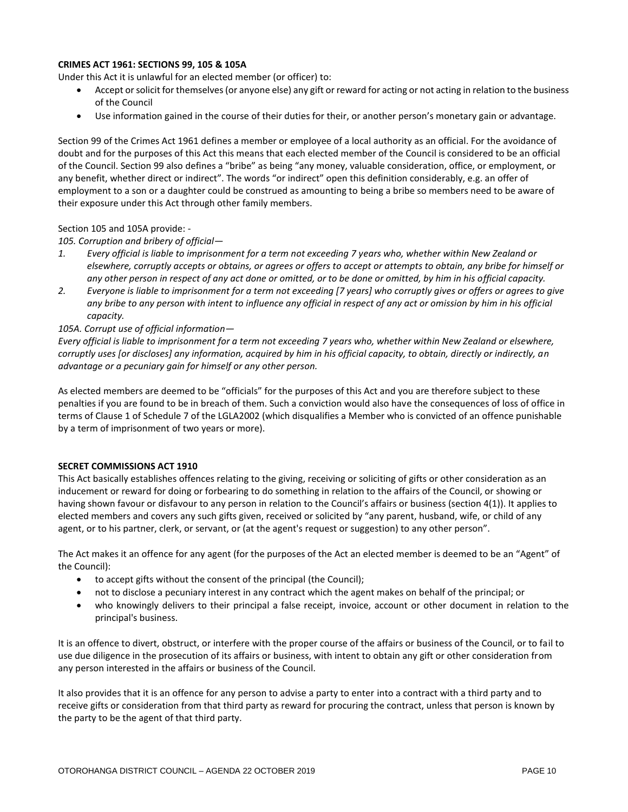#### **CRIMES ACT 1961: SECTIONS 99, 105 & 105A**

Under this Act it is unlawful for an elected member (or officer) to:

- Accept or solicit for themselves (or anyone else) any gift or reward for acting or not acting in relation to the business of the Council
- Use information gained in the course of their duties for their, or another person's monetary gain or advantage.

Section 99 of the Crimes Act 1961 defines a member or employee of a local authority as an official. For the avoidance of doubt and for the purposes of this Act this means that each elected member of the Council is considered to be an official of the Council. Section 99 also defines a "bribe" as being "any money, valuable consideration, office, or employment, or any benefit, whether direct or indirect". The words "or indirect" open this definition considerably, e.g. an offer of employment to a son or a daughter could be construed as amounting to being a bribe so members need to be aware of their exposure under this Act through other family members.

Section 105 and 105A provide: -

*105. Corruption and bribery of official—*

- *1. Every official is liable to imprisonment for a term not exceeding 7 years who, whether within New Zealand or elsewhere, corruptly accepts or obtains, or agrees or offers to accept or attempts to obtain, any bribe for himself or any other person in respect of any act done or omitted, or to be done or omitted, by him in his official capacity.*
- *2. Everyone is liable to imprisonment for a term not exceeding [7 years] who corruptly gives or offers or agrees to give any bribe to any person with intent to influence any official in respect of any act or omission by him in his official capacity.*

#### *105A. Corrupt use of official information—*

*Every official is liable to imprisonment for a term not exceeding 7 years who, whether within New Zealand or elsewhere, corruptly uses [or discloses] any information, acquired by him in his official capacity, to obtain, directly or indirectly, an advantage or a pecuniary gain for himself or any other person.* 

As elected members are deemed to be "officials" for the purposes of this Act and you are therefore subject to these penalties if you are found to be in breach of them. Such a conviction would also have the consequences of loss of office in terms of Clause 1 of Schedule 7 of the LGLA2002 (which disqualifies a Member who is convicted of an offence punishable by a term of imprisonment of two years or more).

#### **SECRET COMMISSIONS ACT 1910**

This Act basically establishes offences relating to the giving, receiving or soliciting of gifts or other consideration as an inducement or reward for doing or forbearing to do something in relation to the affairs of the Council, or showing or having shown favour or disfavour to any person in relation to the Council's affairs or business (section 4(1)). It applies to elected members and covers any such gifts given, received or solicited by "any parent, husband, wife, or child of any agent, or to his partner, clerk, or servant, or (at the agent's request or suggestion) to any other person".

The Act makes it an offence for any agent (for the purposes of the Act an elected member is deemed to be an "Agent" of the Council):

- to accept gifts without the consent of the principal (the Council);
- not to disclose a pecuniary interest in any contract which the agent makes on behalf of the principal; or
- who knowingly delivers to their principal a false receipt, invoice, account or other document in relation to the principal's business.

It is an offence to divert, obstruct, or interfere with the proper course of the affairs or business of the Council, or to fail to use due diligence in the prosecution of its affairs or business, with intent to obtain any gift or other consideration from any person interested in the affairs or business of the Council.

It also provides that it is an offence for any person to advise a party to enter into a contract with a third party and to receive gifts or consideration from that third party as reward for procuring the contract, unless that person is known by the party to be the agent of that third party.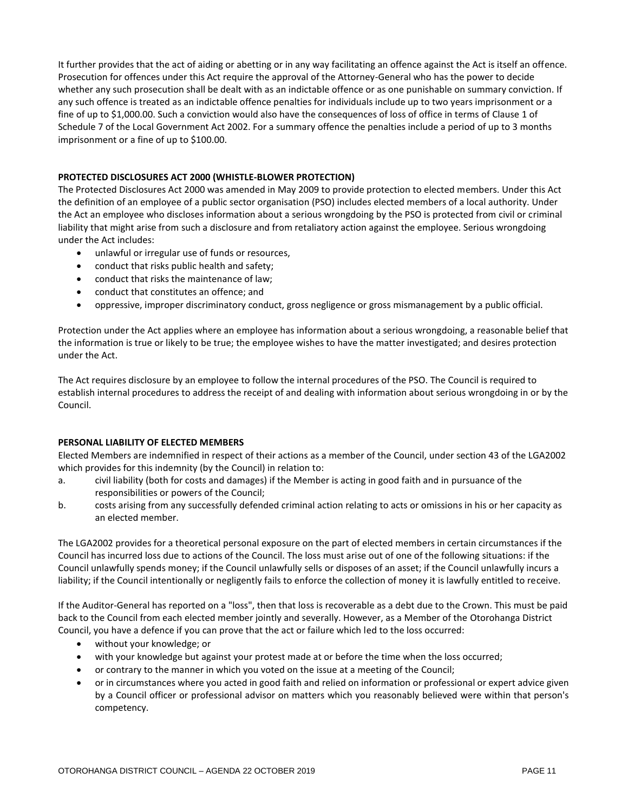It further provides that the act of aiding or abetting or in any way facilitating an offence against the Act is itself an offence. Prosecution for offences under this Act require the approval of the Attorney-General who has the power to decide whether any such prosecution shall be dealt with as an indictable offence or as one punishable on summary conviction. If any such offence is treated as an indictable offence penalties for individuals include up to two years imprisonment or a fine of up to \$1,000.00. Such a conviction would also have the consequences of loss of office in terms of Clause 1 of Schedule 7 of the Local Government Act 2002. For a summary offence the penalties include a period of up to 3 months imprisonment or a fine of up to \$100.00.

#### **PROTECTED DISCLOSURES ACT 2000 (WHISTLE-BLOWER PROTECTION)**

The Protected Disclosures Act 2000 was amended in May 2009 to provide protection to elected members. Under this Act the definition of an employee of a public sector organisation (PSO) includes elected members of a local authority. Under the Act an employee who discloses information about a serious wrongdoing by the PSO is protected from civil or criminal liability that might arise from such a disclosure and from retaliatory action against the employee. Serious wrongdoing under the Act includes:

- unlawful or irregular use of funds or resources,
- conduct that risks public health and safety;
- conduct that risks the maintenance of law;
- conduct that constitutes an offence; and
- oppressive, improper discriminatory conduct, gross negligence or gross mismanagement by a public official.

Protection under the Act applies where an employee has information about a serious wrongdoing, a reasonable belief that the information is true or likely to be true; the employee wishes to have the matter investigated; and desires protection under the Act.

The Act requires disclosure by an employee to follow the internal procedures of the PSO. The Council is required to establish internal procedures to address the receipt of and dealing with information about serious wrongdoing in or by the Council.

#### **PERSONAL LIABILITY OF ELECTED MEMBERS**

Elected Members are indemnified in respect of their actions as a member of the Council, under section 43 of the LGA2002 which provides for this indemnity (by the Council) in relation to:

- a. civil liability (both for costs and damages) if the Member is acting in good faith and in pursuance of the responsibilities or powers of the Council;
- b. costs arising from any successfully defended criminal action relating to acts or omissions in his or her capacity as an elected member.

The LGA2002 provides for a theoretical personal exposure on the part of elected members in certain circumstances if the Council has incurred loss due to actions of the Council. The loss must arise out of one of the following situations: if the Council unlawfully spends money; if the Council unlawfully sells or disposes of an asset; if the Council unlawfully incurs a liability; if the Council intentionally or negligently fails to enforce the collection of money it is lawfully entitled to receive.

If the Auditor-General has reported on a "loss", then that loss is recoverable as a debt due to the Crown. This must be paid back to the Council from each elected member jointly and severally. However, as a Member of the Otorohanga District Council, you have a defence if you can prove that the act or failure which led to the loss occurred:

- without your knowledge; or
- with your knowledge but against your protest made at or before the time when the loss occurred;
- or contrary to the manner in which you voted on the issue at a meeting of the Council;
- or in circumstances where you acted in good faith and relied on information or professional or expert advice given by a Council officer or professional advisor on matters which you reasonably believed were within that person's competency.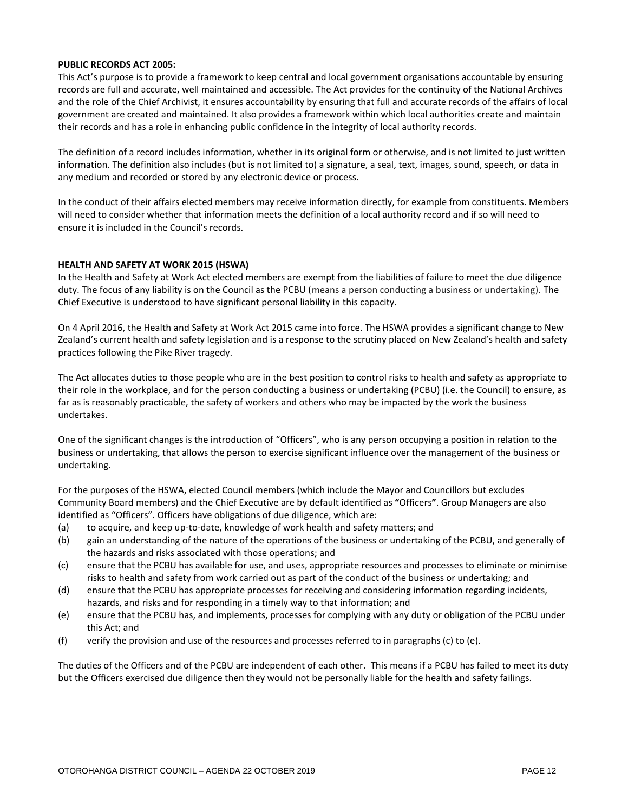#### **PUBLIC RECORDS ACT 2005:**

This Act's purpose is to provide a framework to keep central and local government organisations accountable by ensuring records are full and accurate, well maintained and accessible. The Act provides for the continuity of the National Archives and the role of the Chief Archivist, it ensures accountability by ensuring that full and accurate records of the affairs of local government are created and maintained. It also provides a framework within which local authorities create and maintain their records and has a role in enhancing public confidence in the integrity of local authority records.

The definition of a record includes information, whether in its original form or otherwise, and is not limited to just written information. The definition also includes (but is not limited to) a signature, a seal, text, images, sound, speech, or data in any medium and recorded or stored by any electronic device or process.

In the conduct of their affairs elected members may receive information directly, for example from constituents. Members will need to consider whether that information meets the definition of a local authority record and if so will need to ensure it is included in the Council's records.

#### **HEALTH AND SAFETY AT WORK 2015 (HSWA)**

In the Health and Safety at Work Act elected members are exempt from the liabilities of failure to meet the due diligence duty. The focus of any liability is on the Council as the PCBU (means a person conducting a business or undertaking). The Chief Executive is understood to have significant personal liability in this capacity.

On 4 April 2016, the Health and Safety at Work Act 2015 came into force. The HSWA provides a significant change to New Zealand's current health and safety legislation and is a response to the scrutiny placed on New Zealand's health and safety practices following the Pike River tragedy.

The Act allocates duties to those people who are in the best position to control risks to health and safety as appropriate to their role in the workplace, and for the person conducting a business or undertaking (PCBU) (i.e. the Council) to ensure, as far as is reasonably practicable, the safety of workers and others who may be impacted by the work the business undertakes.

One of the significant changes is the introduction of "Officers", who is any person occupying a position in relation to the business or undertaking, that allows the person to exercise significant influence over the management of the business or undertaking.

For the purposes of the HSWA, elected Council members (which include the Mayor and Councillors but excludes Community Board members) and the Chief Executive are by default identified as **"**Officers**"**. Group Managers are also identified as "Officers". Officers have obligations of due diligence, which are:

- (a) to acquire, and keep up-to-date, knowledge of work health and safety matters; and
- (b) gain an understanding of the nature of the operations of the business or undertaking of the PCBU, and generally of the hazards and risks associated with those operations; and
- (c) ensure that the PCBU has available for use, and uses, appropriate resources and processes to eliminate or minimise risks to health and safety from work carried out as part of the conduct of the business or undertaking; and
- (d) ensure that the PCBU has appropriate processes for receiving and considering information regarding incidents, hazards, and risks and for responding in a timely way to that information; and
- (e) ensure that the PCBU has, and implements, processes for complying with any duty or obligation of the PCBU under this Act; and
- (f) verify the provision and use of the resources and processes referred to in paragraphs (c) to (e).

The duties of the Officers and of the PCBU are independent of each other. This means if a PCBU has failed to meet its duty but the Officers exercised due diligence then they would not be personally liable for the health and safety failings.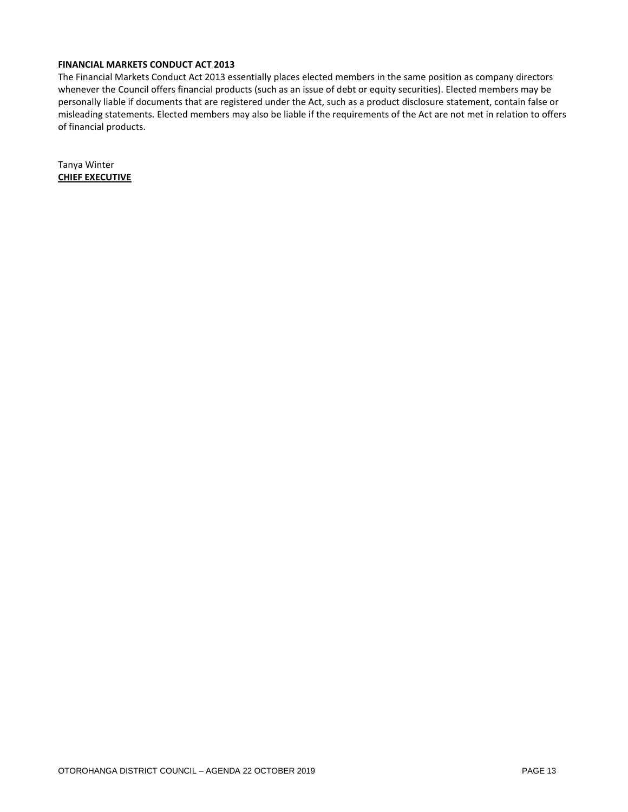#### **FINANCIAL MARKETS CONDUCT ACT 2013**

The Financial Markets Conduct Act 2013 essentially places elected members in the same position as company directors whenever the Council offers financial products (such as an issue of debt or equity securities). Elected members may be personally liable if documents that are registered under the Act, such as a product disclosure statement, contain false or misleading statements. Elected members may also be liable if the requirements of the Act are not met in relation to offers of financial products.